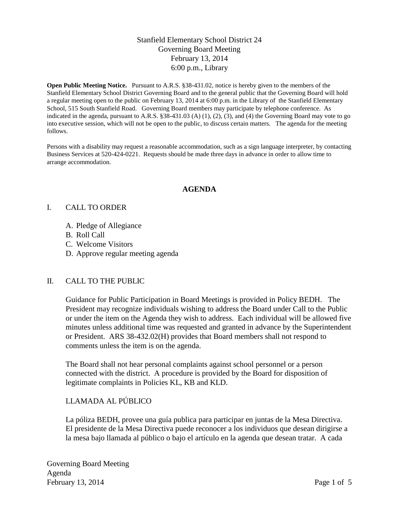# Stanfield Elementary School District 24 Governing Board Meeting February 13, 2014 6:00 p.m., Library

**Open Public Meeting Notice.** Pursuant to A.R.S. §38-431.02, notice is hereby given to the members of the Stanfield Elementary School District Governing Board and to the general public that the Governing Board will hold a regular meeting open to the public on February 13, 2014 at 6:00 p.m. in the Library of the Stanfield Elementary School, 515 South Stanfield Road. Governing Board members may participate by telephone conference. As indicated in the agenda, pursuant to A.R.S. §38-431.03 (A) (1), (2), (3), and (4) the Governing Board may vote to go into executive session, which will not be open to the public, to discuss certain matters. The agenda for the meeting follows.

Persons with a disability may request a reasonable accommodation, such as a sign language interpreter, by contacting Business Services at 520-424-0221. Requests should be made three days in advance in order to allow time to arrange accommodation.

## **AGENDA**

#### I. CALL TO ORDER

- A. Pledge of Allegiance
- B. Roll Call
- C. Welcome Visitors
- D. Approve regular meeting agenda

## II. CALL TO THE PUBLIC

Guidance for Public Participation in Board Meetings is provided in Policy BEDH. The President may recognize individuals wishing to address the Board under Call to the Public or under the item on the Agenda they wish to address. Each individual will be allowed five minutes unless additional time was requested and granted in advance by the Superintendent or President. ARS 38-432.02(H) provides that Board members shall not respond to comments unless the item is on the agenda.

The Board shall not hear personal complaints against school personnel or a person connected with the district. A procedure is provided by the Board for disposition of legitimate complaints in Policies KL, KB and KLD.

## LLAMADA AL PÚBLICO

La póliza BEDH, provee una guía publica para participar en juntas de la Mesa Directiva. El presidente de la Mesa Directiva puede reconocer a los individuos que desean dirigirse a la mesa bajo llamada al público o bajo el artículo en la agenda que desean tratar. A cada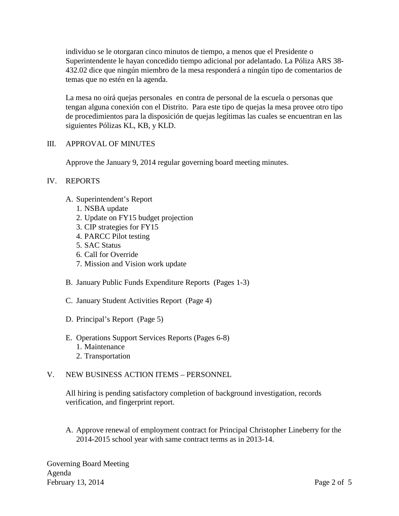individuo se le otorgaran cinco minutos de tiempo, a menos que el Presidente o Superintendente le hayan concedido tiempo adicional por adelantado. La Póliza ARS 38- 432.02 dice que ningún miembro de la mesa responderá a ningún tipo de comentarios de temas que no estén en la agenda.

La mesa no oirá quejas personales en contra de personal de la escuela o personas que tengan alguna conexión con el Distrito. Para este tipo de quejas la mesa provee otro tipo de procedimientos para la disposición de quejas legítimas las cuales se encuentran en las siguientes Pólizas KL, KB, y KLD.

# III. APPROVAL OF MINUTES

Approve the January 9, 2014 regular governing board meeting minutes.

# IV. REPORTS

- A. Superintendent's Report
	- 1. NSBA update
	- 2. Update on FY15 budget projection
	- 3. CIP strategies for FY15
	- 4. PARCC Pilot testing
	- 5. SAC Status
	- 6. Call for Override
	- 7. Mission and Vision work update
- B. January Public Funds Expenditure Reports (Pages 1-3)
- C. January Student Activities Report (Page 4)
- D. Principal's Report (Page 5)
- E. Operations Support Services Reports (Pages 6-8)
	- 1. Maintenance
	- 2. Transportation

## V. NEW BUSINESS ACTION ITEMS – PERSONNEL

All hiring is pending satisfactory completion of background investigation, records verification, and fingerprint report.

A. Approve renewal of employment contract for Principal Christopher Lineberry for the 2014-2015 school year with same contract terms as in 2013-14.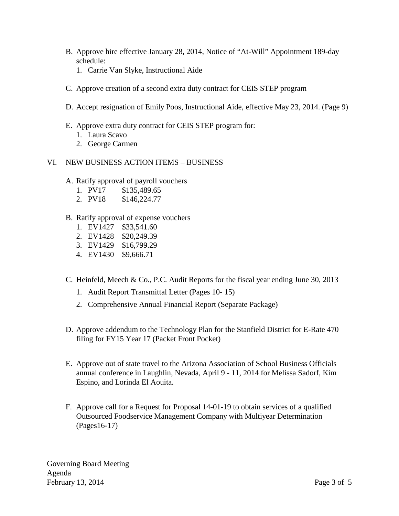- B. Approve hire effective January 28, 2014, Notice of "At-Will" Appointment 189-day schedule:
	- 1. Carrie Van Slyke, Instructional Aide
- C. Approve creation of a second extra duty contract for CEIS STEP program
- D. Accept resignation of Emily Poos, Instructional Aide, effective May 23, 2014. (Page 9)
- E. Approve extra duty contract for CEIS STEP program for:
	- 1. Laura Scavo
	- 2. George Carmen
- VI. NEW BUSINESS ACTION ITEMS BUSINESS
	- A. Ratify approval of payroll vouchers
		- 1. PV17 \$135,489.65
		- 2. PV18 \$146,224.77

## B. Ratify approval of expense vouchers

- 1. EV1427 \$33,541.60
- 2. EV1428 \$20,249.39
- 3. EV1429 \$16,799.29
- 4. EV1430 \$9,666.71
- C. Heinfeld, Meech & Co., P.C. Audit Reports for the fiscal year ending June 30, 2013
	- 1. Audit Report Transmittal Letter (Pages 10- 15)
	- 2. Comprehensive Annual Financial Report (Separate Package)
- D. Approve addendum to the Technology Plan for the Stanfield District for E-Rate 470 filing for FY15 Year 17 (Packet Front Pocket)
- E. Approve out of state travel to the Arizona Association of School Business Officials annual conference in Laughlin, Nevada, April 9 - 11, 2014 for Melissa Sadorf, Kim Espino, and Lorinda El Aouita.
- F. Approve call for a Request for Proposal 14-01-19 to obtain services of a qualified Outsourced Foodservice Management Company with Multiyear Determination (Pages16-17)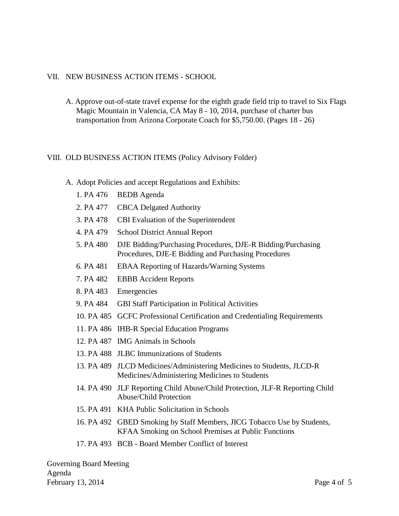#### VII. NEW BUSINESS ACTION ITEMS - SCHOOL

A. Approve out-of-state travel expense for the eighth grade field trip to travel to Six Flags Magic Mountain in Valencia, CA May 8 - 10, 2014, purchase of charter bus transportation from Arizona Corporate Coach for \$5,750.00. (Pages 18 - 26)

#### VIII. OLD BUSINESS ACTION ITEMS (Policy Advisory Folder)

- A. Adopt Policies and accept Regulations and Exhibits:
	- 1. PA 476 BEDB Agenda
	- 2. PA 477 CBCA Delgated Authority
	- 3. PA 478 CBI Evaluation of the Superintendent
	- 4. PA 479 School District Annual Report
	- 5. PA 480 DJE Bidding/Purchasing Procedures, DJE-R Bidding/Purchasing Procedures, DJE-E Bidding and Purchasing Procedures
	- 6. PA 481 EBAA Reporting of Hazards/Warning Systems
	- 7. PA 482 EBBB Accident Reports
	- 8. PA 483 Emergencies
	- 9. PA 484 GBI Staff Participation in Political Activities
	- 10. PA 485 GCFC Professional Certification and Credentialing Requirements
	- 11. PA 486 IHB-R Special Education Programs
	- 12. PA 487 IMG Animals in Schools
	- 13. PA 488 JLBC Immunizations of Students
	- 13. PA 489 JLCD Medicines/Administering Medicines to Students, JLCD-R Medicines/Administering Medicines to Students
	- 14. PA 490 JLF Reporting Child Abuse/Child Protection, JLF-R Reporting Child Abuse/Child Protection
	- 15. PA 491 KHA Public Solicitation in Schools
	- 16. PA 492 GBED Smoking by Staff Members, JICG Tobacco Use by Students, KFAA Smoking on School Premises at Public Functions
	- 17. PA 493 BCB Board Member Conflict of Interest